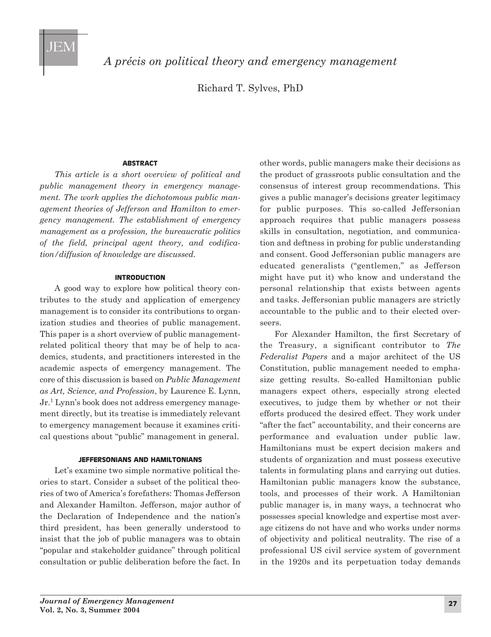

*A précis on political theory and emergency management*

Richard T. Sylves, PhD

### **ABSTRACT**

*This article is a short overview of political and public management theory in emergency management. The work applies the dichotomous public management theories of Jefferson and Hamilton to emergency management. The establishment of emergency management as a profession, the bureaucratic politics of the field, principal agent theory, and codifica tion/diffusion of knowledge are discussed.*

### **INTRODUCTION**

A good way to explore how political theory contributes to the study and application of emergency management is to consider its contributions to organization studies and theories of public management. This paper is a short overview of public managementrelated political theory that may be of help to academics, students, and practitioners interested in the academic aspects of emergency management. The core of this discussion is based on *Public Management as Art, Science, and Profession*, by Laurence E. Lynn, Jr.1 Lynn's book does not address emergency management directly, but its treatise is immediately relevant to emergency management because it examines critical questions about "public" management in general.

## **JEFFERSONIANS AND HAMILTONIANS**

Let's examine two simple normative political theories to start. Consider a subset of the political theories of two of America's forefathers: Thomas Jefferson and Alexander Hamilton. Jefferson, major author of the Declaration of Independence and the nation's third president, has been generally understood to insist that the job of public managers was to obtain "popular and stakeholder guidance" through political consultation or public deliberation before the fact. In

other words, public managers make their decisions as the product of grassroots public consultation and the consensus of interest group recommendations. This gives a public manager's decisions greater legitimacy for public purposes. This so-called Jeffersonian approach requires that public managers possess skills in consultation, negotiation, and communication and deftness in probing for public understanding and consent. Good Jeffersonian public managers are educated generalists ("gentlemen," as Jefferson might have put it) who know and understand the personal relationship that exists between agents and tasks. Jeffersonian public managers are strictly accountable to the public and to their elected overseers.

For Alexander Hamilton, the first Secretary of the Treasury, a significant contributor to *The Federalist Papers* and a major architect of the US Constitution, public management needed to emphasize getting results. So-called Hamiltonian public managers expect others, especially strong elected executives, to judge them by whether or not their efforts produced the desired effect. They work under "after the fact" accountability, and their concerns are performance and evaluation under public law. Hamiltonians must be expert decision makers and students of organization and must possess executive talents in formulating plans and carrying out duties. Hamiltonian public managers know the substance, tools, and processes of their work. A Hamiltonian public manager is, in many ways, a technocrat who possesses special knowledge and expertise most average citizens do not have and who works under norms of objectivity and political neutrality. The rise of a professional US civil service system of government in the 1920s and its perpetuation today demands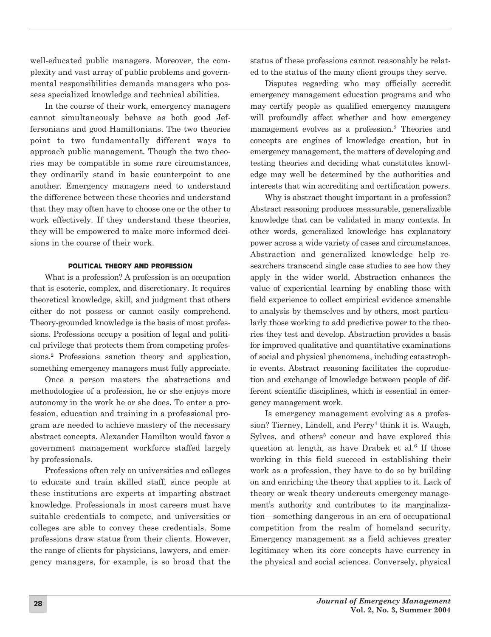well-educated public managers. Moreover, the complexity and vast array of public problems and governmental responsibilities demands managers who possess specialized knowledge and technical abilities.

In the course of their work, emergency managers cannot simultaneously behave as both good Jeffersonians and good Hamiltonians. The two theories point to two fundamentally different ways to approach public management. Though the two theories may be compatible in some rare circumstances, they ordinarily stand in basic counterpoint to one another. Emergency managers need to understand the difference between these theories and understand that they may often have to choose one or the other to work effectively. If they understand these theories, they will be empowered to make more informed decisions in the course of their work.

## **POLITICAL THEORY AND PROFESSION**

What is a profession? A profession is an occupation that is esoteric, complex, and discretionary. It requires theoretical knowledge, skill, and judgment that others either do not possess or cannot easily comprehend. Theory-grounded knowledge is the basis of most professions. Professions occupy a position of legal and political privilege that protects them from competing professions.2 Professions sanction theory and application, something emergency managers must fully appreciate.

Once a person masters the abstractions and methodologies of a profession, he or she enjoys more autonomy in the work he or she does. To enter a profession, education and training in a professional program are needed to achieve mastery of the necessary abstract concepts. Alexander Hamilton would favor a government management workforce staffed largely by professionals.

Professions often rely on universities and colleges to educate and train skilled staff, since people at these institutions are experts at imparting abstract knowledge. Professionals in most careers must have suitable credentials to compete, and universities or colleges are able to convey these credentials. Some professions draw status from their clients. However, the range of clients for physicians, lawyers, and emergency managers, for example, is so broad that the

status of these professions cannot reasonably be related to the status of the many client groups they serve.

Disputes regarding who may officially accredit emergency management education programs and who may certify people as qualified emergency managers will profoundly affect whether and how emergency management evolves as a profession.3 Theories and concepts are engines of knowledge creation, but in emergency management, the matters of developing and testing theories and deciding what constitutes knowledge may well be determined by the authorities and interests that win accrediting and certification powers.

Why is abstract thought important in a profession? Abstract reasoning produces measurable, generalizable knowledge that can be validated in many contexts. In other words, generalized knowledge has explanatory power across a wide variety of cases and circumstances. Abstraction and generalized knowledge help researchers transcend single case studies to see how they apply in the wider world. Abstraction enhances the value of experiential learning by enabling those with field experience to collect empirical evidence amenable to analysis by themselves and by others, most particularly those working to add predictive power to the theories they test and develop. Abstraction provides a basis for improved qualitative and quantitative examinations of social and physical phenomena, including catastrophic events. Abstract reasoning facilitates the coproduction and exchange of knowledge between people of different scientific disciplines, which is essential in emergency management work.

Is emergency management evolving as a profession? Tierney, Lindell, and  $Perry<sup>4</sup>$  think it is. Waugh, Sylves, and others<sup>5</sup> concur and have explored this question at length, as have Drabek et al.<sup>6</sup> If those working in this field succeed in establishing their work as a profession, they have to do so by building on and enriching the theory that applies to it. Lack of theory or weak theory undercuts emergency management's authority and contributes to its marginalization—something dangerous in an era of occupational competition from the realm of homeland security. Emergency management as a field achieves greater legitimacy when its core concepts have currency in the physical and social sciences. Conversely, physical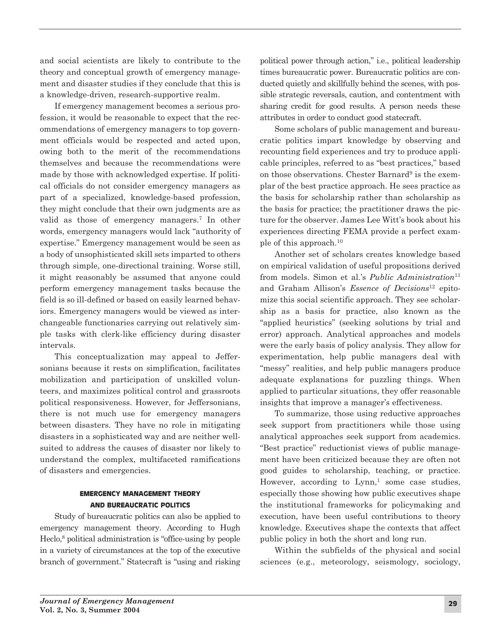and social scientists are likely to contribute to the theory and conceptual growth of emergency management and disaster studies if they conclude that this is a knowledge-driven, research-supportive realm.

If emergency management becomes a serious profession, it would be reasonable to expect that the recommendations of emergency managers to top government officials would be respected and acted upon, owing both to the merit of the recommendations themselves and because the recommendations were made by those with acknowledged expertise. If political officials do not consider emergency managers as part of a specialized, knowledge-based profession, they might conclude that their own judgments are as valid as those of emergency managers.7 In other words, emergency managers would lack "authority of expertise." Emergency management would be seen as a body of unsophisticated skill sets imparted to others through simple, one-directional training. Worse still, it might reasonably be assumed that anyone could perform emergency management tasks because the field is so ill-defined or based on easily learned behaviors. Emergency managers would be viewed as interchangeable functionaries carrying out relatively simple tasks with clerk-like efficiency during disaster intervals.

This conceptualization may appeal to Jeffersonians because it rests on simplification, facilitates mobilization and participation of unskilled volunteers, and maximizes political control and grassroots political responsiveness. However, for Jeffersonians, there is not much use for emergency managers between disasters. They have no role in mitigating disasters in a sophisticated way and are neither wellsuited to address the causes of disaster nor likely to understand the complex, multifaceted ramifications of disasters and emergencies.

# **EMERGENCY MANAGEMENT THEORY AND BUREAUCRATIC POLITICS**

Study of bureaucratic politics can also be applied to emergency management theory. According to Hugh Heclo,<sup>8</sup> political administration is "office-using by people in a variety of circumstances at the top of the executive branch of government." Statecraft is "using and risking

political power through action," i.e., political leadership times bureaucratic power. Bureaucratic politics are conducted quietly and skillfully behind the scenes, with possible strategic reversals, caution, and contentment with sharing credit for good results. A person needs these attributes in order to conduct good statecraft.

Some scholars of public management and bureaucratic politics impart knowledge by observing and recounting field experiences and try to produce applicable principles, referred to as "best practices," based on those observations. Chester Barnard<sup>9</sup> is the exemplar of the best practice approach. He sees practice as the basis for scholarship rather than scholarship as the basis for practice; the practitioner draws the picture for the observer. James Lee Witt's book about his experiences directing FEMA provide a perfect example of this approach.10

Another set of scholars creates knowledge based on empirical validation of useful propositions derived from models. Simon et al.'s *Public Administration*<sup>11</sup> and Graham Allison's *Essence of Decisions*<sup>12</sup> epitomize this social scientific approach. They see scholarship as a basis for practice, also known as the "applied heuristics" (seeking solutions by trial and error) approach. Analytical approaches and models were the early basis of policy analysis. They allow for experimentation, help public managers deal with "messy" realities, and help public managers produce adequate explanations for puzzling things. When applied to particular situations, they offer reasonable insights that improve a manager's effectiveness.

To summarize, those using reductive approaches seek support from practitioners while those using analytical approaches seek support from academics. "Best practice" reductionist views of public management have been criticized because they are often not good guides to scholarship, teaching, or practice. However, according to  $Lymn$ <sup>1</sup> some case studies, especially those showing how public executives shape the institutional frameworks for policymaking and execution, have been useful contributions to theory knowledge. Executives shape the contexts that affect public policy in both the short and long run.

Within the subfields of the physical and social sciences (e.g., meteorology, seismology, sociology,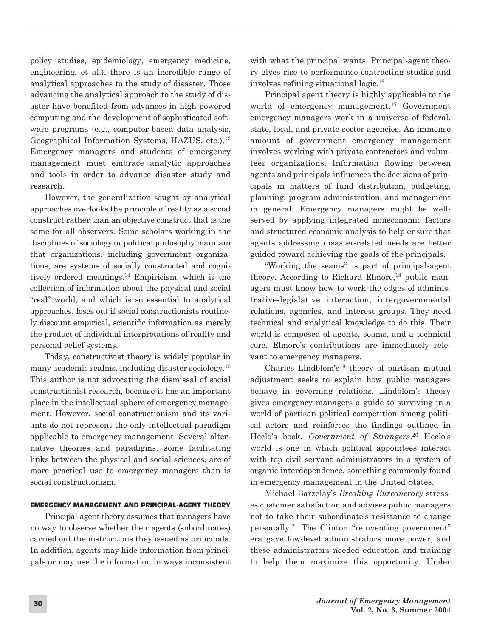policy studies, epidemiology, emergency medicine, engineering, et al.), there is an incredible range of analytical approaches to the study of disaster. Those advancing the analytical approach to the study of disaster have benefited from advances in high-powered computing and the development of sophisticated software programs (e.g., computer-based data analysis, Geographical Information Systems, HAZUS, etc.).13 Emergency managers and students of emergency management must embrace analytic approaches and tools in order to advance disaster study and research.

However, the generalization sought by analytical approaches overlooks the principle of reality as a social construct rather than an objective construct that is the same for all observers. Some scholars working in the disciplines of sociology or political philosophy maintain that organizations, including government organizations, are systems of socially constructed and cognitively ordered meanings.14 Empiricism, which is the collection of information about the physical and social "real" world, and which is so essential to analytical approaches, loses out if social constructionists routinely discount empirical, scientific information as merely the product of individual interpretations of reality and personal belief systems.

Today, constructivist theory is widely popular in many academic realms, including disaster sociology.15 This author is not advocating the dismissal of social constructionist research, because it has an important place in the intellectual sphere of emergency management. However, social constructionism and its variants do not represent the only intellectual paradigm applicable to emergency management. Several alternative theories and paradigms, some facilitating links between the physical and social sciences, are of more practical use to emergency managers than is social constructionism.

### **EMERGENCY MANAGEMENT AND PRINCIPAL-AGENT THEORY**

Principal-agent theory assumes that managers have no way to observe whether their agents (subordinates) carried out the instructions they issued as principals. In addition, agents may hide information from principals or may use the information in ways inconsistent with what the principal wants. Principal-agent theory gives rise to performance contracting studies and involves refining situational logic.16

Principal agent theory is highly applicable to the world of emergency management.<sup>17</sup> Government emergency managers work in a universe of federal, state, local, and private sector agencies. An immense amount of government emergency management involves working with private contractors and volunteer organizations. Information flowing between agents and principals influences the decisions of principals in matters of fund distribution, budgeting, planning, program administration, and management in general. Emergency managers might be wellserved by applying integrated noneconomic factors and structured economic analysis to help ensure that agents addressing disaster-related needs are better guided toward achieving the goals of the principals.

"Working the seams" is part of principal-agent theory. According to Richard Elmore,<sup>18</sup> public managers must know how to work the edges of administrative-legislative interaction, intergovernmental relations, agencies, and interest groups. They need technical and analytical knowledge to do this. Their world is composed of agents, seams, and a technical core. Elmore's contributions are immediately relevant to emergency managers.

Charles Lindblom's<sup>19</sup> theory of partisan mutual adjustment seeks to explain how public managers behave in governing relations. Lindblom's theory gives emergency managers a guide to surviving in a world of partisan political competition among political actors and reinforces the findings outlined in Heclo's book, *Government of Strangers*. <sup>20</sup> Heclo's world is one in which political appointees interact with top civil servant administrators in a system of organic interdependence, something commonly found in emergency management in the United States.

Michael Barzelay's *Breaking Bureaucracy* stresses customer satisfaction and advises public managers not to take their subordinate's resistance to change personally.21 The Clinton "reinventing government" era gave low-level administrators more power, and these administrators needed education and training to help them maximize this opportunity. Under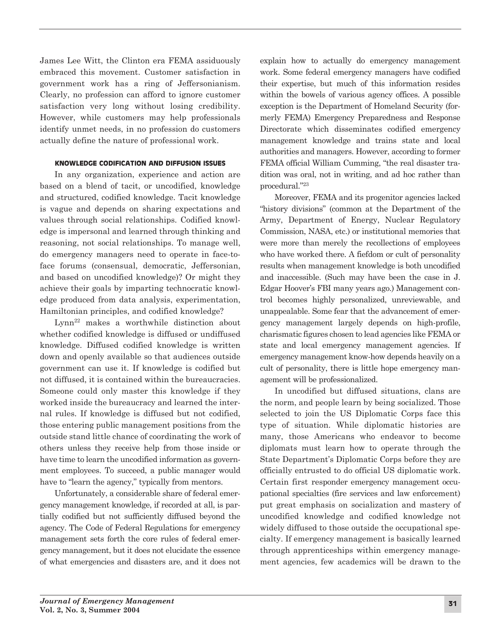James Lee Witt, the Clinton era FEMA assiduously embraced this movement. Customer satisfaction in government work has a ring of Jeffersonianism. Clearly, no profession can afford to ignore customer satisfaction very long without losing credibility. However, while customers may help professionals identify unmet needs, in no profession do customers actually define the nature of professional work.

## **KNOWLEDGE CODIFICATION AND DIFFUSION ISSUES**

In any organization, experience and action are based on a blend of tacit, or uncodified, knowledge and structured, codified knowledge. Tacit knowledge is vague and depends on sharing expectations and values through social relationships. Codified knowledge is impersonal and learned through thinking and reasoning, not social relationships. To manage well, do emergency managers need to operate in face-toface forums (consensual, democratic, Jeffersonian, and based on uncodified knowledge)? Or might they achieve their goals by imparting technocratic knowledge produced from data analysis, experimentation, Hamiltonian principles, and codified knowledge?

Lynn22 makes a worthwhile distinction about whether codified knowledge is diffused or undiffused knowledge. Diffused codified knowledge is written down and openly available so that audiences outside government can use it. If knowledge is codified but not diffused, it is contained within the bureaucracies. Someone could only master this knowledge if they worked inside the bureaucracy and learned the internal rules. If knowledge is diffused but not codified, those entering public management positions from the outside stand little chance of coordinating the work of others unless they receive help from those inside or have time to learn the uncodified information as government employees. To succeed, a public manager would have to "learn the agency," typically from mentors.

Unfortunately, a considerable share of federal emergency management knowledge, if recorded at all, is partially codified but not sufficiently diffused beyond the agency. The Code of Federal Regulations for emergency management sets forth the core rules of federal emergency management, but it does not elucidate the essence of what emergencies and disasters are, and it does not

explain how to actually do emergency management work. Some federal emergency managers have codified their expertise, but much of this information resides within the bowels of various agency offices. A possible exception is the Department of Homeland Security (formerly FEMA) Emergency Preparedness and Response Directorate which disseminates codified emergency management knowledge and trains state and local authorities and managers. However, according to former FEMA official William Cumming, "the real disaster tradition was oral, not in writing, and ad hoc rather than procedural."23

Moreover, FEMA and its progenitor agencies lacked "history divisions" (common at the Department of the Army, Department of Energy, Nuclear Regulatory Commission, NASA, etc.) or institutional memories that were more than merely the recollections of employees who have worked there. A fiefdom or cult of personality results when management knowledge is both uncodified and inaccessible. (Such may have been the case in J. Edgar Hoover's FBI many years ago.) Management control becomes highly personalized, unreviewable, and unappealable. Some fear that the advancement of emergency management largely depends on high-profile, charismatic figures chosen to lead agencies like FEMA or state and local emergency management agencies. If emergency management know-how depends heavily on a cult of personality, there is little hope emergency management will be professionalized.

In uncodified but diffused situations, clans are the norm, and people learn by being socialized. Those selected to join the US Diplomatic Corps face this type of situation. While diplomatic histories are many, those Americans who endeavor to become diplomats must learn how to operate through the State Department's Diplomatic Corps before they are officially entrusted to do official US diplomatic work. Certain first responder emergency management occupational specialties (fire services and law enforcement) put great emphasis on socialization and mastery of uncodified knowledge and codified knowledge not widely diffused to those outside the occupational specialty. If emergency management is basically learned through apprenticeships within emergency management agencies, few academics will be drawn to the